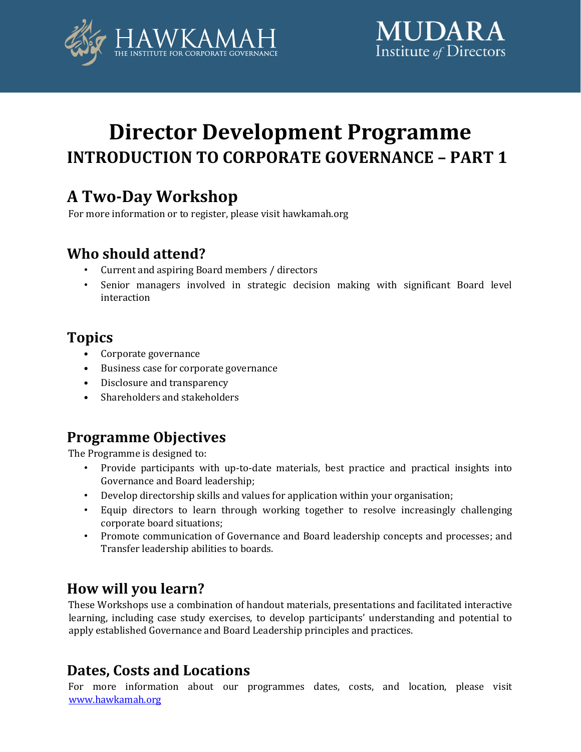



# **Director Development Programme INTRODUCTION TO CORPORATE GOVERNANCE – PART 1**

# **A Two-Day Workshop**

For more information or to register, please visit hawkamah.org

## **Who should attend?**

- Current and aspiring Board members / directors
- Senior managers involved in strategic decision making with significant Board level interaction

# **Topics**

- Corporate governance
- Business case for corporate governance
- Disclosure and transparency
- Shareholders and stakeholders

### **Programme Objectives**

The Programme is designed to:

- Provide participants with up-to-date materials, best practice and practical insights into Governance and Board leadership;
- Develop directorship skills and values for application within your organisation;
- Equip directors to learn through working together to resolve increasingly challenging corporate board situations;
- Promote communication of Governance and Board leadership concepts and processes; and Transfer leadership abilities to boards.

# **How will you learn?**

These Workshops use a combination of handout materials, presentations and facilitated interactive learning, including case study exercises, to develop participants' understanding and potential to apply established Governance and Board Leadership principles and practices.

### **Dates, Costs and Locations**

For more information about our programmes dates, costs, and location, please visit [www.hawkamah.org](http://www.hawkamah.org/)